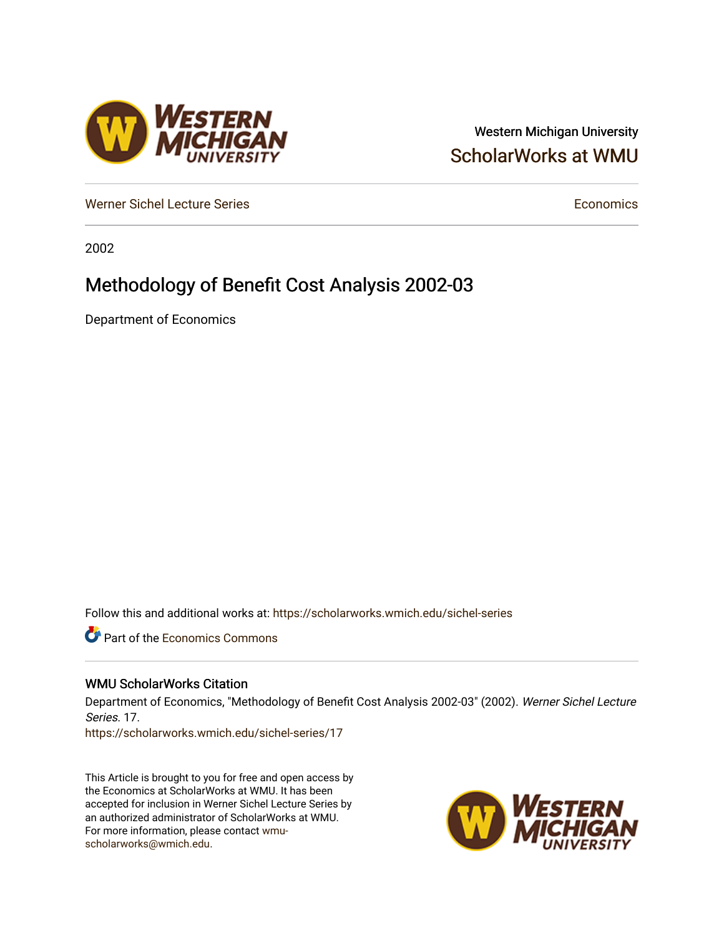## Western Michigan University [ScholarWorks at WMU](https://scholarworks.wmich.edu/)

[Werner Sichel Lecture Series](https://scholarworks.wmich.edu/sichel-series) **Economics** [Economics](https://scholarworks.wmich.edu/economics) **Economics** 

2002

# Methodology of Benefit Cost Analysis 2002-03

Department of Economics

Follow this and additional works at: [https://scholarworks.wmich.edu/sichel-series](https://scholarworks.wmich.edu/sichel-series?utm_source=scholarworks.wmich.edu%2Fsichel-series%2F17&utm_medium=PDF&utm_campaign=PDFCoverPages) 

**C** Part of the [Economics Commons](http://network.bepress.com/hgg/discipline/340?utm_source=scholarworks.wmich.edu%2Fsichel-series%2F17&utm_medium=PDF&utm_campaign=PDFCoverPages)

#### WMU ScholarWorks Citation

Department of Economics, "Methodology of Benefit Cost Analysis 2002-03" (2002). Werner Sichel Lecture Series. 17.

[https://scholarworks.wmich.edu/sichel-series/17](https://scholarworks.wmich.edu/sichel-series/17?utm_source=scholarworks.wmich.edu%2Fsichel-series%2F17&utm_medium=PDF&utm_campaign=PDFCoverPages)

This Article is brought to you for free and open access by the Economics at ScholarWorks at WMU. It has been accepted for inclusion in Werner Sichel Lecture Series by an authorized administrator of ScholarWorks at WMU. For more information, please contact [wmu](mailto:wmu-scholarworks@wmich.edu)[scholarworks@wmich.edu.](mailto:wmu-scholarworks@wmich.edu)



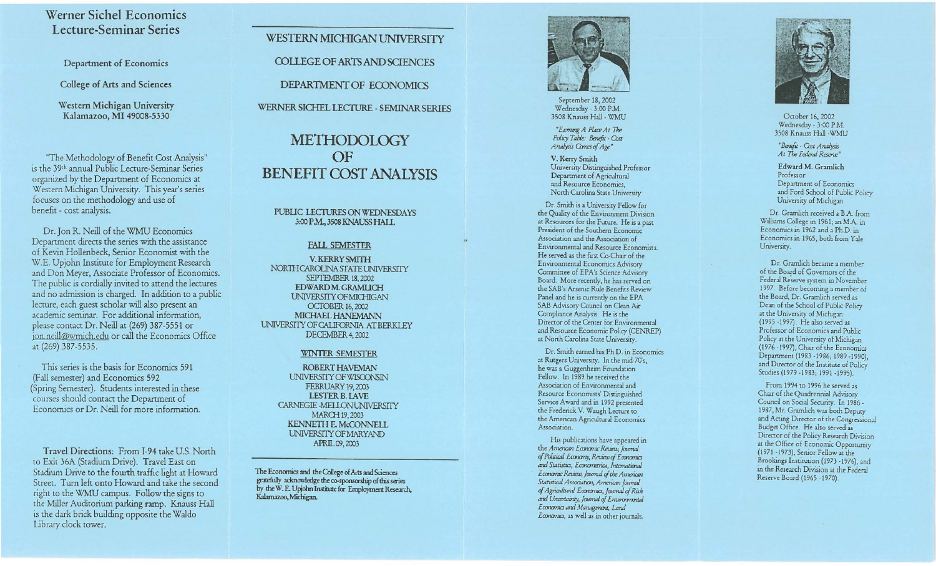### Werner Sichel Economics Lecture-Seminar Series

Department of Economics

College of Arts and Sciences

Western Michigan University Kalamazoo, MI 49008-5330

"The Methodology of Benefit Cost Analysis" is the 39<sup>th</sup> annual Public Lecture-Seminar Series organized by the Department of Economics at Western Michigan University. This year's series focuses on the methodology and use of benefit - cost analysis.

Dr. Jon R. Neill of the WMU Economics Department directs the series with the assistance of Kevin Hollenbeck, Senior Economist with the W.E. Upjohn Institute for Employment Research and Don Meyer, Associate Professor of Economics, The public is cordially invited to attend the lectures and no admission is charged. In addition to a public lecture, each guest scholar will also present an academic seminar. For additional information. please contact Dr. Neill at (269) 387-5551 or jon.neill@wmich.edu or call the Economics Office at (269) 387-5535.

This series is the basis for Economics 591 (Fall semester) and Economics 592 (Spring Semester). Students interested in these courses should contact the Department of Economics or Dr. Neill for more information.

Travel Directions: From I-94 take U.S. North to Exit 36A (Stadium Drive). Travel East on Stadium Drive to the fourth traffic light at Howard Street. Turn left onto Howard and take the second right to the WMU campus. Follow the signs to the Miller Auditorium parking ramp. Knauss Hall is the dark brick building opposite the Waldo Library clock tower.

**WESTERN MICHIGAN UNIVERSITY COLLEGE OF ARTS AND SCIENCES** DEPARTMENT OF ECONOMICS WERNER SICHEL LECTURE - SEMINAR SERIES

# **METHODOLOGY**  $OF$ **BENEFIT COST ANALYSIS**

PUBLIC LECTURES ON WEDNESDAYS 3:00 P.M., 3508 KNAUSS HALL

#### **FALL SEMESTER**

V. KERRY SMITH NORTH CAROLINA STATE UNIVERSITY **SEPTEMBER 18, 2002** EDWARD M. GRAMLICH UNIVERSITY OF MICHIGAN **OCTOBER 16, 2002** MICHAEL HANEMANN UNIVERSITY OF CALIFORNIA AT BERKLEY DECEMBER 4, 2002

#### **WINTER SEMESTER**

ROBERT HAVEMAN UNIVERSITY OF WISCONSIN FEBRUARY 19, 2003 **LESTER B. LAVE** CARNEGIE-MELLON UNIVERSITY MARCH 19, 2003 **KENNETH E. McCONNELL** UNIVERSITY OF MARYAND APRIL 09, 2003

The Economics and the College of Arts and Sciences gratefully acknowledge the co-sponsorship of this series by the W. E. Upjohn Institute for Employment Research, Kalamazoo, Michigan.



September 18, 2002 Wednesday - 3:00 P.M. 3508 Knauss Hall - WMU

"Eaming A Place At The Policy Table: Benefit - Cost Analysis Comes of Age"

V. Kerry Smith University Distinguished Professor Department of Agricultural and Resource Economics, North Carolina State University

Dr. Smith is a University Fellow for the Quality of the Environment Division at Resources for the Future. He is a past President of the Southern Economic Association and the Association of Environmental and Resource Economists. He served as the first Co-Chair of the Environmental Economics Advisory Committee of EPA's Science Advisory Board. More recently, he has served on the SAB's Arsenic Rule Benefits Review Panel and he is currently on the EPA SAB Advisory Council on Clean Air Compliance Analysis. He is the Director of the Center for Environmental and Resource Economic Policy (CENREP) at North Carolina State University.

Dr. Smith earned his Ph.D. in Economics at Rutgers University. In the mid-70's, he was a Guggenheim Foundation Fellow. In 1989 he received the Association of Environmental and Resource Economists' Distinguished Service Award and in 1992 presented the Frederick V. Waugh Lecture to the American Agricultural Economics Association.

His publications have appeared in the American Economic Review, Journal of Political Economy, Review of Economics and Statistics, Econometrica, International Economic Review, Journal of the American Statistical Association, American Journal of Agricultural Economics, Journal of Risk and Uncertainty, Journal of Eminormontal Economics and Management, Land Economics, as well as in other journals.



October 16, 2002 Wednesday - 3:00 P.M. 3508 Knauss Hall - WMU

"Benefit - Cost Analysis At The Federal Reserve"

Edward M. Gramlich Professor Department of Economics and Ford School of Public Policy University of Michigan

Dr. Gramlich received a B A. from Williams College in 1961; an M.A. in Economics in 1962 and a Ph.D. in Economics in 1965, both from Yale University.

Dr. Gramlich became a member of the Board of Governors of the Federal Reserve system in November 1997. Before becoming a member of the Board, Dr. Gramlich served as Dean of the School of Public Policy at the University of Michigan (1995 -1997). He also served as Professor of Economics and Public Policy at the University of Michigan (1976 - 1997), Chair of the Economics Department (1983 -1986; 1989 -1990), and Director of the Institute of Policy Studies (1979 - 1983; 1991 - 1995).

From 1994 to 1996 he served as Chair of the Quadrennial Advisory Council on Social Security. In 1986 -1987, Mr. Gramlich was both Deputy and Acting Director of the Congressional Budget Office. He also served as Director of the Policy Research Division at the Office of Economic Opportunity (1971-1973), Senior Fellow at the Brookings Institution (1973 -1976), and in the Research Division at the Federal Reserve Board (1965 -1970).